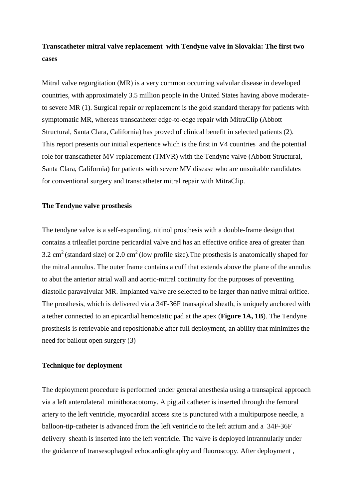# **Transcatheter mitral valve replacement with Tendyne valve in Slovakia: The first two cases**

Mitral valve regurgitation (MR) is a very common occurring valvular disease in developed countries, with approximately 3.5 million people in the United States having above moderateto severe MR (1). Surgical repair or replacement is the gold standard therapy for patients with symptomatic MR, whereas transcatheter edge-to-edge repair with MitraClip (Abbott Structural, Santa Clara, California) has proved of clinical benefit in selected patients (2). This report presents our initial experience which is the first in V4 countries and the potential role for transcatheter MV replacement (TMVR) with the Tendyne valve (Abbott Structural, Santa Clara, California) for patients with severe MV disease who are unsuitable candidates for conventional surgery and transcatheter mitral repair with MitraClip.

#### **The Tendyne valve prosthesis**

The tendyne valve is a self-expanding, nitinol prosthesis with a double-frame design that contains a trileaflet porcine pericardial valve and has an effective orifice area of greater than 3.2 cm<sup>2</sup> (standard size) or 2.0 cm<sup>2</sup> (low profile size). The prosthesis is anatomically shaped for the mitral annulus. The outer frame contains a cuff that extends above the plane of the annulus to abut the anterior atrial wall and aortic-mitral continuity for the purposes of preventing diastolic paravalvular MR. Implanted valve are selected to be larger than native mitral orifice. The prosthesis, which is delivered via a 34F-36F transapical sheath, is uniquely anchored with a tether connected to an epicardial hemostatic pad at the apex (**Figure 1A, 1B**). The Tendyne prosthesis is retrievable and repositionable after full deployment, an ability that minimizes the need for bailout open surgery (3)

#### **Technique for deployment**

The deployment procedure is performed under general anesthesia using a transapical approach via a left anterolateral minithoracotomy. A pigtail catheter is inserted through the femoral artery to the left ventricle, myocardial access site is punctured with a multipurpose needle, a balloon-tip-catheter is advanced from the left ventricle to the left atrium and a 34F-36F delivery sheath is inserted into the left ventricle. The valve is deployed intrannularly under the guidance of transesophageal echocardioghraphy and fluoroscopy. After deployment ,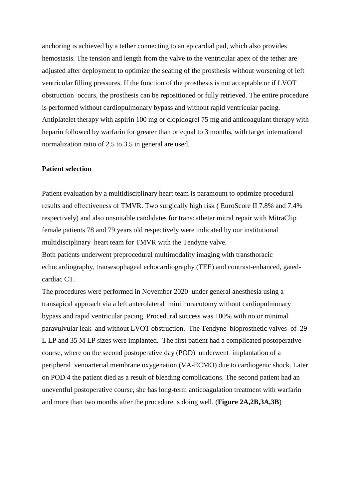anchoring is achieved by a tether connecting to an epicardial pad, which also provides hemostasis. The tension and length from the valve to the ventricular apex of the tether are adjusted after deployment to optimize the seating of the prosthesis without worsening of left ventricular filling pressures. If the function of the prosthesis is not acceptable or if LVOT obstruction occurs, the prosthesis can be repositioned or fully retrieved. The entire procedure is performed without cardiopulmonary bypass and without rapid ventricular pacing. Antiplatelet therapy with aspirin 100 mg or clopidogrel 75 mg and anticoagulant therapy with heparin followed by warfarin for greater than or equal to 3 months, with target international normalization ratio of 2.5 to 3.5 in general are used.

### **Patient selection**

Patient evaluation by a multidisciplinary heart team is paramount to optimize procedural results and effectiveness of TMVR. Two surgically high risk ( EuroScore II 7.8% and 7.4% respectively) and also unsuitable candidates for transcatheter mitral repair with MitraClip female patients 78 and 79 years old respectively were indicated by our institutional multidisciplinary heart team for TMVR with the Tendyne valve.

Both patients underwent preprocedural multimodality imaging with transthoracic echocardiography, transesophageal echocardiography (TEE) and contrast-enhanced, gatedcardiac CT.

The procedures were performed in November 2020 under general anesthesia using a transapical approach via a left anterolateral minithoracotomy without cardiopulmonary bypass and rapid ventricular pacing. Procedural success was 100% with no or minimal paravulvular leak and without LVOT obstruction. The Tendyne bioprosthetic valves of 29 L LP and 35 M LP sizes were implanted. The first patient had a complicated postoperative course, where on the second postoperative day (POD) underwent implantation of a peripheral venoarterial membrane oxygenation (VA-ECMO) due to cardiogenic shock. Later on POD 4 the patient died as a result of bleeding complications. The second patient had an uneventful postoperative course, she has long-term anticoagulation treatment with warfarin and more than two months after the procedure is doing well. (**Figure 2A,2B,3A,3B**)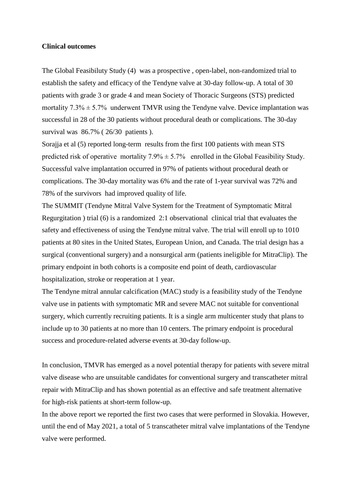#### **Clinical outcomes**

The Global Feasibiluty Study (4) was a prospective , open-label, non-randomized trial to establish the safety and efficacy of the Tendyne valve at 30-day follow-up. A total of 30 patients with grade 3 or grade 4 and mean Society of Thoracic Surgeons (STS) predicted mortality  $7.3\% \pm 5.7\%$  underwent TMVR using the Tendyne valve. Device implantation was successful in 28 of the 30 patients without procedural death or complications. The 30-day survival was 86.7% ( 26/30 patients ).

Sorajja et al (5) reported long-term results from the first 100 patients with mean STS predicted risk of operative mortality  $7.9\% \pm 5.7\%$  enrolled in the Global Feasibility Study. Successful valve implantation occurred in 97% of patients without procedural death or complications. The 30-day mortality was 6% and the rate of 1-year survival was 72% and 78% of the survivors had improved quality of life.

The SUMMIT (Tendyne Mitral Valve System for the Treatment of Symptomatic Mitral Regurgitation ) trial (6) is a randomized 2:1 observational clinical trial that evaluates the safety and effectiveness of using the Tendyne mitral valve. The trial will enroll up to 1010 patients at 80 sites in the United States, European Union, and Canada. The trial design has a surgical (conventional surgery) and a nonsurgical arm (patients ineligible for MitraClip). The primary endpoint in both cohorts is a composite end point of death, cardiovascular hospitalization, stroke or reoperation at 1 year.

The Tendyne mitral annular calcification (MAC) study is a feasibility study of the Tendyne valve use in patients with symptomatic MR and severe MAC not suitable for conventional surgery, which currently recruiting patients. It is a single arm multicenter study that plans to include up to 30 patients at no more than 10 centers. The primary endpoint is procedural success and procedure-related adverse events at 30-day follow-up.

In conclusion, TMVR has emerged as a novel potential therapy for patients with severe mitral valve disease who are unsuitable candidates for conventional surgery and transcatheter mitral repair with MitraClip and has shown potential as an effective and safe treatment alternative for high-risk patients at short-term follow-up.

In the above report we reported the first two cases that were performed in Slovakia. However, until the end of May 2021, a total of 5 transcatheter mitral valve implantations of the Tendyne valve were performed.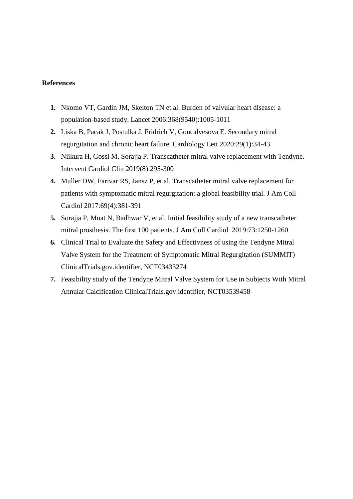## **References**

- **1.** Nkomo VT, Gardin JM, Skelton TN et al. Burden of valvular heart disease: a population-based study. Lancet 2006:368(9540):1005-1011
- **2.** Liska B, Pacak J, Postulka J, Fridrich V, Goncalvesova E. Secondary mitral regurgitation and chronic heart failure. Cardiology Lett 2020:29(1):34-43
- **3.** Niikura H, Gossl M, Sorajja P. Transcatheter mitral valve replacement with Tendyne. Intervent Cardiol Clin 2019(8):295-300
- **4.** Muller DW, Farivar RS, Jansz P, et al. Transcatheter mitral valve replacement for patients with symptomatic mitral regurgitation: a global feasibility trial. J Am Coll Cardiol 2017:69(4):381-391
- **5.** Sorajja P, Moat N, Badhwar V, et al. Initial feasibility study of a new transcatheter mitral prosthesis. The first 100 patients. J Am Coll Cardiol 2019:73:1250-1260
- **6.** Clinical Trial to Evaluate the Safety and Effectivness of using the Tendyne Mitral Valve System for the Treatment of Symptomatic Mitral Regurgitation (SUMMIT) ClinicalTrials.gov.identifier, NCT03433274
- **7.** Feasibility study of the Tendyne Mitral Valve System for Use in Subjects With Mitral Annular Calcification ClinicalTrials.gov.identifier, NCT03539458